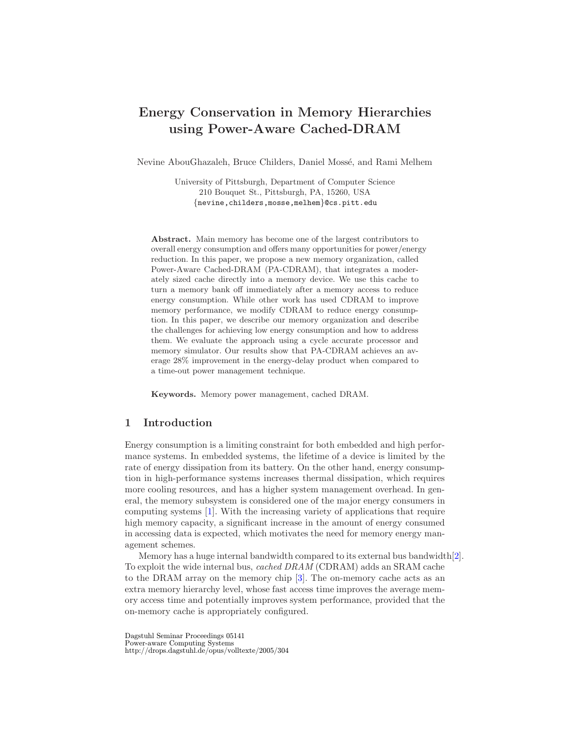# Energy Conservation in Memory Hierarchies using Power-Aware Cached-DRAM

Nevine AbouGhazaleh, Bruce Childers, Daniel Mossé, and Rami Melhem

University of Pittsburgh, Department of Computer Science 210 Bouquet St., Pittsburgh, PA, 15260, USA {nevine,childers,mosse,melhem}@cs.pitt.edu

Abstract. Main memory has become one of the largest contributors to overall energy consumption and offers many opportunities for power/energy reduction. In this paper, we propose a new memory organization, called Power-Aware Cached-DRAM (PA-CDRAM), that integrates a moderately sized cache directly into a memory device. We use this cache to turn a memory bank off immediately after a memory access to reduce energy consumption. While other work has used CDRAM to improve memory performance, we modify CDRAM to reduce energy consumption. In this paper, we describe our memory organization and describe the challenges for achieving low energy consumption and how to address them. We evaluate the approach using a cycle accurate processor and memory simulator. Our results show that PA-CDRAM achieves an average 28% improvement in the energy-delay product when compared to a time-out power management technique.

Keywords. Memory power management, cached DRAM.

# 1 Introduction

Energy consumption is a limiting constraint for both embedded and high performance systems. In embedded systems, the lifetime of a device is limited by the rate of energy dissipation from its battery. On the other hand, energy consumption in high-performance systems increases thermal dissipation, which requires more cooling resources, and has a higher system management overhead. In general, the memory subsystem is considered one of the major energy consumers in computing systems [\[1\]](#page-8-0). With the increasing variety of applications that require high memory capacity, a significant increase in the amount of energy consumed in accessing data is expected, which motivates the need for memory energy management schemes.

Memory has a huge internal bandwidth compared to its external bus bandwidth[\[2\]](#page-8-1). To exploit the wide internal bus, cached DRAM (CDRAM) adds an SRAM cache to the DRAM array on the memory chip [\[3\]](#page-8-2). The on-memory cache acts as an extra memory hierarchy level, whose fast access time improves the average memory access time and potentially improves system performance, provided that the on-memory cache is appropriately configured.

Dagstuhl Seminar Proceedings 05141 Power-aware Computing Systems http://drops.dagstuhl.de/opus/volltexte/2005/304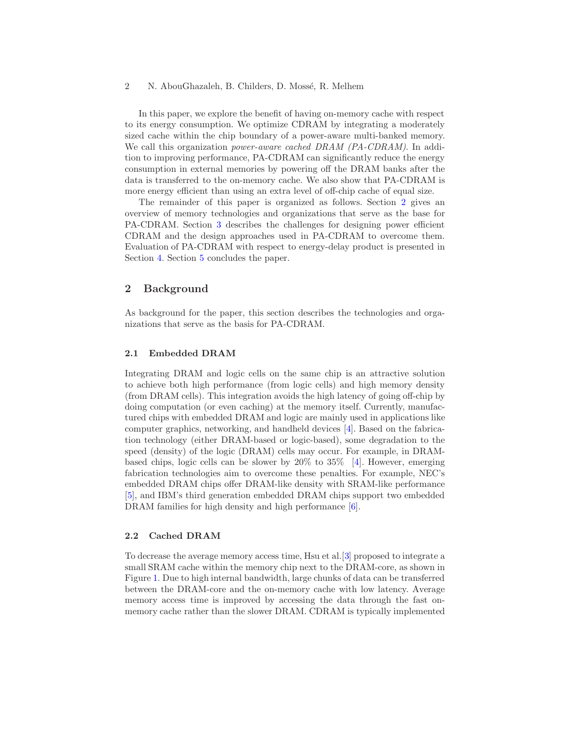#### 2 N. AbouGhazaleh, B. Childers, D. Mossé, R. Melhem

In this paper, we explore the benefit of having on-memory cache with respect to its energy consumption. We optimize CDRAM by integrating a moderately sized cache within the chip boundary of a power-aware multi-banked memory. We call this organization *power-aware cached DRAM (PA-CDRAM)*. In addition to improving performance, PA-CDRAM can significantly reduce the energy consumption in external memories by powering off the DRAM banks after the data is transferred to the on-memory cache. We also show that PA-CDRAM is more energy efficient than using an extra level of off-chip cache of equal size.

The remainder of this paper is organized as follows. Section [2](#page-1-0) gives an overview of memory technologies and organizations that serve as the base for PA-CDRAM. Section [3](#page-2-0) describes the challenges for designing power efficient CDRAM and the design approaches used in PA-CDRAM to overcome them. Evaluation of PA-CDRAM with respect to energy-delay product is presented in Section [4.](#page-6-0) Section [5](#page-8-3) concludes the paper.

# <span id="page-1-0"></span>2 Background

As background for the paper, this section describes the technologies and organizations that serve as the basis for PA-CDRAM.

#### 2.1 Embedded DRAM

Integrating DRAM and logic cells on the same chip is an attractive solution to achieve both high performance (from logic cells) and high memory density (from DRAM cells). This integration avoids the high latency of going off-chip by doing computation (or even caching) at the memory itself. Currently, manufactured chips with embedded DRAM and logic are mainly used in applications like computer graphics, networking, and handheld devices [\[4\]](#page-8-4). Based on the fabrication technology (either DRAM-based or logic-based), some degradation to the speed (density) of the logic (DRAM) cells may occur. For example, in DRAMbased chips, logic cells can be slower by  $20\%$  to  $35\%$  [\[4\]](#page-8-4). However, emerging fabrication technologies aim to overcome these penalties. For example, NEC's embedded DRAM chips offer DRAM-like density with SRAM-like performance [\[5\]](#page-8-5), and IBM's third generation embedded DRAM chips support two embedded DRAM families for high density and high performance  $[6]$ .

## 2.2 Cached DRAM

To decrease the average memory access time, Hsu et al.[\[3\]](#page-8-2) proposed to integrate a small SRAM cache within the memory chip next to the DRAM-core, as shown in Figure [1.](#page-2-1) Due to high internal bandwidth, large chunks of data can be transferred between the DRAM-core and the on-memory cache with low latency. Average memory access time is improved by accessing the data through the fast onmemory cache rather than the slower DRAM. CDRAM is typically implemented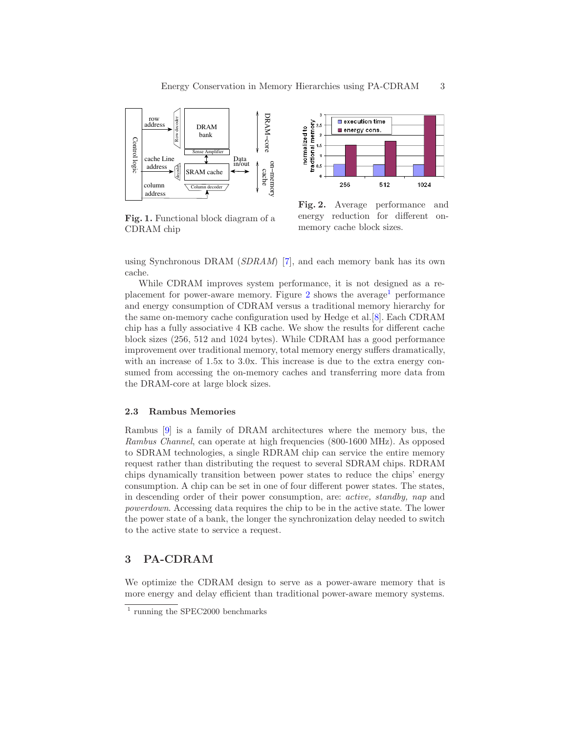

<span id="page-2-1"></span>Fig. 1. Functional block diagram of a CDRAM chip



<span id="page-2-2"></span>Fig. 2. Average performance and energy reduction for different onmemory cache block sizes.

using Synchronous DRAM ( $SDRAM$ ) [\[7\]](#page-9-0), and each memory bank has its own cache.

While CDRAM improves system performance, it is not designed as a replacement for power-aware memory. Figure  $2$  shows the average<sup>[1](#page-2-3)</sup> performance and energy consumption of CDRAM versus a traditional memory hierarchy for the same on-memory cache configuration used by Hedge et al.[\[8\]](#page-9-1). Each CDRAM chip has a fully associative 4 KB cache. We show the results for different cache block sizes (256, 512 and 1024 bytes). While CDRAM has a good performance improvement over traditional memory, total memory energy suffers dramatically, with an increase of  $1.5x$  to  $3.0x$ . This increase is due to the extra energy consumed from accessing the on-memory caches and transferring more data from the DRAM-core at large block sizes.

#### 2.3 Rambus Memories

Rambus [\[9\]](#page-9-2) is a family of DRAM architectures where the memory bus, the Rambus Channel, can operate at high frequencies (800-1600 MHz). As opposed to SDRAM technologies, a single RDRAM chip can service the entire memory request rather than distributing the request to several SDRAM chips. RDRAM chips dynamically transition between power states to reduce the chips' energy consumption. A chip can be set in one of four different power states. The states, in descending order of their power consumption, are: active, standby, nap and powerdown. Accessing data requires the chip to be in the active state. The lower the power state of a bank, the longer the synchronization delay needed to switch to the active state to service a request.

## <span id="page-2-0"></span>3 PA-CDRAM

We optimize the CDRAM design to serve as a power-aware memory that is more energy and delay efficient than traditional power-aware memory systems.

<span id="page-2-3"></span><sup>1</sup> running the SPEC2000 benchmarks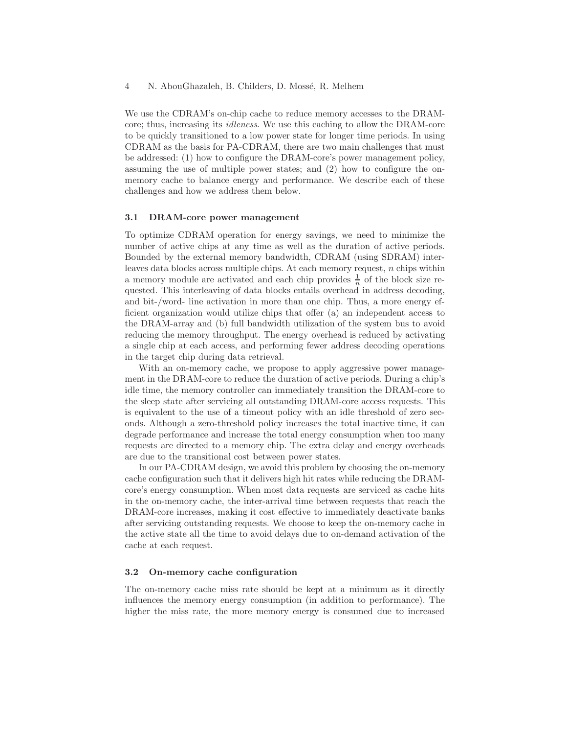#### 4 N. AbouGhazaleh, B. Childers, D. Mossé, R. Melhem

We use the CDRAM's on-chip cache to reduce memory accesses to the DRAMcore; thus, increasing its idleness. We use this caching to allow the DRAM-core to be quickly transitioned to a low power state for longer time periods. In using CDRAM as the basis for PA-CDRAM, there are two main challenges that must be addressed: (1) how to configure the DRAM-core's power management policy, assuming the use of multiple power states; and (2) how to configure the onmemory cache to balance energy and performance. We describe each of these challenges and how we address them below.

#### 3.1 DRAM-core power management

To optimize CDRAM operation for energy savings, we need to minimize the number of active chips at any time as well as the duration of active periods. Bounded by the external memory bandwidth, CDRAM (using SDRAM) interleaves data blocks across multiple chips. At each memory request, n chips within a memory module are activated and each chip provides  $\frac{1}{n}$  of the block size requested. This interleaving of data blocks entails overhead in address decoding, and bit-/word- line activation in more than one chip. Thus, a more energy efficient organization would utilize chips that offer (a) an independent access to the DRAM-array and (b) full bandwidth utilization of the system bus to avoid reducing the memory throughput. The energy overhead is reduced by activating a single chip at each access, and performing fewer address decoding operations in the target chip during data retrieval.

With an on-memory cache, we propose to apply aggressive power management in the DRAM-core to reduce the duration of active periods. During a chip's idle time, the memory controller can immediately transition the DRAM-core to the sleep state after servicing all outstanding DRAM-core access requests. This is equivalent to the use of a timeout policy with an idle threshold of zero seconds. Although a zero-threshold policy increases the total inactive time, it can degrade performance and increase the total energy consumption when too many requests are directed to a memory chip. The extra delay and energy overheads are due to the transitional cost between power states.

In our PA-CDRAM design, we avoid this problem by choosing the on-memory cache configuration such that it delivers high hit rates while reducing the DRAMcore's energy consumption. When most data requests are serviced as cache hits in the on-memory cache, the inter-arrival time between requests that reach the DRAM-core increases, making it cost effective to immediately deactivate banks after servicing outstanding requests. We choose to keep the on-memory cache in the active state all the time to avoid delays due to on-demand activation of the cache at each request.

#### 3.2 On-memory cache configuration

The on-memory cache miss rate should be kept at a minimum as it directly influences the memory energy consumption (in addition to performance). The higher the miss rate, the more memory energy is consumed due to increased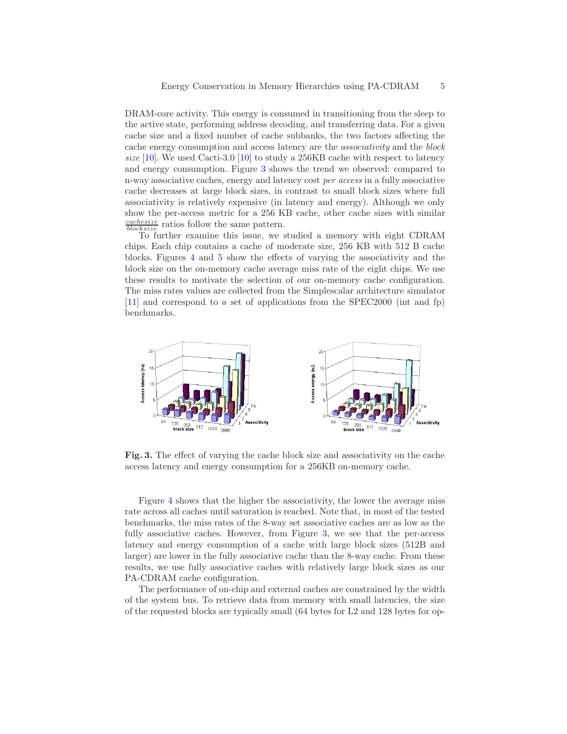DRAM-core activity. This energy is consumed in transitioning from the sleep to the active state, performing address decoding, and transferring data. For a given cache size and a fixed number of cache subbanks, the two factors affecting the cache energy consumption and access latency are the associativity and the block size [\[10\]](#page-9-3). We used Cacti-3.0 [\[10\]](#page-9-3) to study a 256KB cache with respect to latency and energy consumption. Figure [3](#page-4-0) shows the trend we observed: compared to n-way associative caches, energy and latency cost per access in a fully associative cache decreases at large block sizes, in contrast to small block sizes where full associativity is relatively expensive (in latency and energy). Although we only show the per-access metric for a 256 KB cache, other cache sizes with similar  $\frac{cache size}{block size}$  ratios follow the same pattern.

To further examine this issue, we studied a memory with eight CDRAM chips. Each chip contains a cache of moderate size, 256 KB with 512 B cache blocks. Figures [4](#page-5-0) and [5](#page-5-1) show the effects of varying the associativity and the block size on the on-memory cache average miss rate of the eight chips. We use these results to motivate the selection of our on-memory cache configuration. The miss rates values are collected from the Simplescalar architecture simulator [\[11\]](#page-9-4) and correspond to a set of applications from the SPEC2000 (int and fp) benchmarks.



<span id="page-4-0"></span>Fig. 3. The effect of varying the cache block size and associativity on the cache access latency and energy consumption for a 256KB on-memory cache.

Figure [4](#page-5-0) shows that the higher the associativity, the lower the average miss rate across all caches until saturation is reached. Note that, in most of the tested benchmarks, the miss rates of the 8-way set associative caches are as low as the fully associative caches. However, from Figure [3,](#page-4-0) we see that the per-access latency and energy consumption of a cache with large block sizes (512B and larger) are lower in the fully associative cache than the 8-way cache. From these results, we use fully associative caches with relatively large block sizes as our PA-CDRAM cache configuration.

The performance of on-chip and external caches are constrained by the width of the system bus. To retrieve data from memory with small latencies, the size of the requested blocks are typically small (64 bytes for L2 and 128 bytes for op-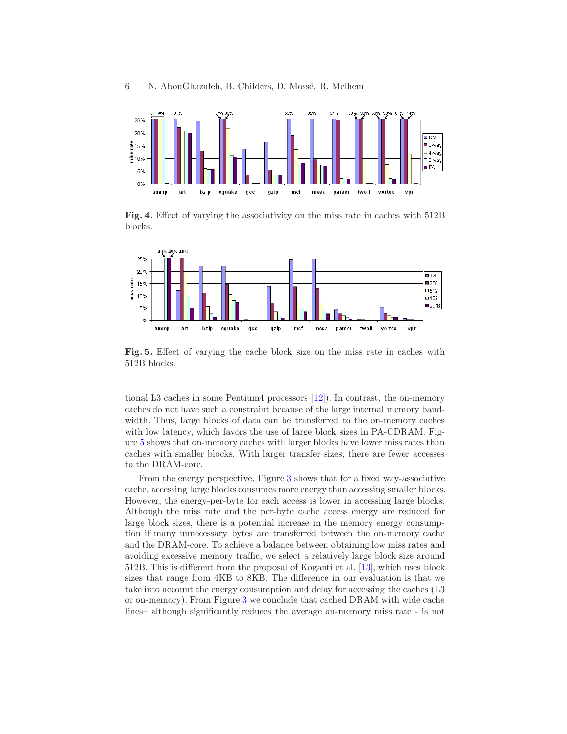

<span id="page-5-0"></span>Fig. 4. Effect of varying the associativity on the miss rate in caches with 512B blocks.



<span id="page-5-1"></span>Fig. 5. Effect of varying the cache block size on the miss rate in caches with 512B blocks.

tional L3 caches in some Pentium4 processors [\[12\]](#page-9-5)). In contrast, the on-memory caches do not have such a constraint because of the large internal memory bandwidth. Thus, large blocks of data can be transferred to the on-memory caches with low latency, which favors the use of large block sizes in PA-CDRAM. Figure [5](#page-5-1) shows that on-memory caches with larger blocks have lower miss rates than caches with smaller blocks. With larger transfer sizes, there are fewer accesses to the DRAM-core.

From the energy perspective, Figure [3](#page-4-0) shows that for a fixed way-associative cache, accessing large blocks consumes more energy than accessing smaller blocks. However, the energy-per-byte for each access is lower in accessing large blocks. Although the miss rate and the per-byte cache access energy are reduced for large block sizes, there is a potential increase in the memory energy consumption if many unnecessary bytes are transferred between the on-memory cache and the DRAM-core. To achieve a balance between obtaining low miss rates and avoiding excessive memory traffic, we select a relatively large block size around 512B. This is different from the proposal of Koganti et al. [\[13\]](#page-9-6), which uses block sizes that range from 4KB to 8KB. The difference in our evaluation is that we take into account the energy consumption and delay for accessing the caches (L3 or on-memory). From Figure [3](#page-4-0) we conclude that cached DRAM with wide cache lines– although significantly reduces the average on-memory miss rate - is not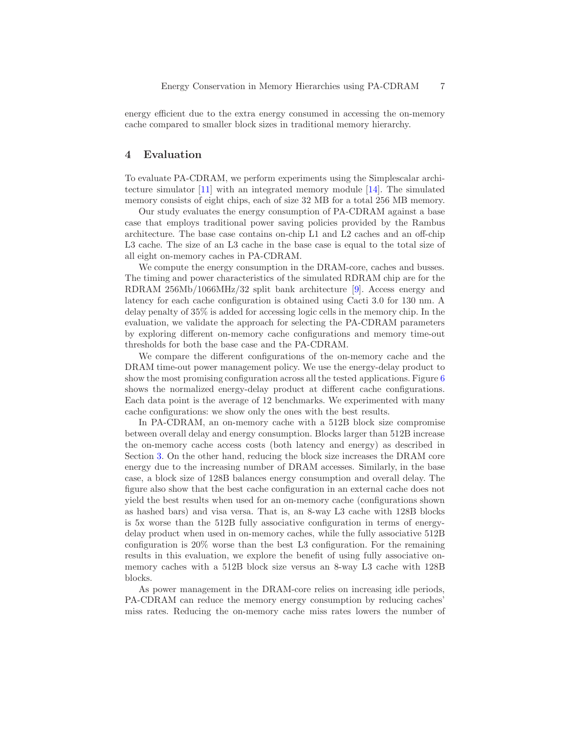energy efficient due to the extra energy consumed in accessing the on-memory cache compared to smaller block sizes in traditional memory hierarchy.

# <span id="page-6-0"></span>4 Evaluation

To evaluate PA-CDRAM, we perform experiments using the Simplescalar architecture simulator [\[11\]](#page-9-4) with an integrated memory module [\[14\]](#page-9-7). The simulated memory consists of eight chips, each of size 32 MB for a total 256 MB memory.

Our study evaluates the energy consumption of PA-CDRAM against a base case that employs traditional power saving policies provided by the Rambus architecture. The base case contains on-chip L1 and L2 caches and an off-chip L3 cache. The size of an L3 cache in the base case is equal to the total size of all eight on-memory caches in PA-CDRAM.

We compute the energy consumption in the DRAM-core, caches and busses. The timing and power characteristics of the simulated RDRAM chip are for the RDRAM 256Mb/1066MHz/32 split bank architecture [\[9\]](#page-9-2). Access energy and latency for each cache configuration is obtained using Cacti 3.0 for 130 nm. A delay penalty of 35% is added for accessing logic cells in the memory chip. In the evaluation, we validate the approach for selecting the PA-CDRAM parameters by exploring different on-memory cache configurations and memory time-out thresholds for both the base case and the PA-CDRAM.

We compare the different configurations of the on-memory cache and the DRAM time-out power management policy. We use the energy-delay product to show the most promising configuration across all the tested applications. Figure [6](#page-7-0) shows the normalized energy-delay product at different cache configurations. Each data point is the average of 12 benchmarks. We experimented with many cache configurations: we show only the ones with the best results.

In PA-CDRAM, an on-memory cache with a 512B block size compromise between overall delay and energy consumption. Blocks larger than 512B increase the on-memory cache access costs (both latency and energy) as described in Section [3.](#page-2-0) On the other hand, reducing the block size increases the DRAM core energy due to the increasing number of DRAM accesses. Similarly, in the base case, a block size of 128B balances energy consumption and overall delay. The figure also show that the best cache configuration in an external cache does not yield the best results when used for an on-memory cache (configurations shown as hashed bars) and visa versa. That is, an 8-way L3 cache with 128B blocks is 5x worse than the 512B fully associative configuration in terms of energydelay product when used in on-memory caches, while the fully associative 512B configuration is 20% worse than the best L3 configuration. For the remaining results in this evaluation, we explore the benefit of using fully associative onmemory caches with a 512B block size versus an 8-way L3 cache with 128B blocks.

As power management in the DRAM-core relies on increasing idle periods, PA-CDRAM can reduce the memory energy consumption by reducing caches' miss rates. Reducing the on-memory cache miss rates lowers the number of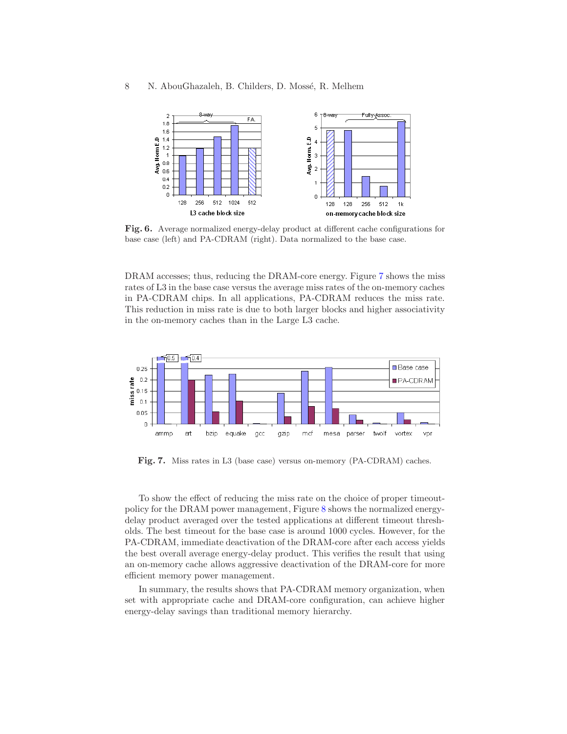### 8 N. AbouGhazaleh, B. Childers, D. Mossé, R. Melhem



<span id="page-7-0"></span>Fig. 6. Average normalized energy-delay product at different cache configurations for base case (left) and PA-CDRAM (right). Data normalized to the base case.

DRAM accesses; thus, reducing the DRAM-core energy. Figure [7](#page-7-1) shows the miss rates of L3 in the base case versus the average miss rates of the on-memory caches in PA-CDRAM chips. In all applications, PA-CDRAM reduces the miss rate. This reduction in miss rate is due to both larger blocks and higher associativity in the on-memory caches than in the Large L3 cache.



<span id="page-7-1"></span>Fig. 7. Miss rates in L3 (base case) versus on-memory (PA-CDRAM) caches.

To show the effect of reducing the miss rate on the choice of proper timeoutpolicy for the DRAM power management, Figure [8](#page-8-7) shows the normalized energydelay product averaged over the tested applications at different timeout thresholds. The best timeout for the base case is around 1000 cycles. However, for the PA-CDRAM, immediate deactivation of the DRAM-core after each access yields the best overall average energy-delay product. This verifies the result that using an on-memory cache allows aggressive deactivation of the DRAM-core for more efficient memory power management.

In summary, the results shows that PA-CDRAM memory organization, when set with appropriate cache and DRAM-core configuration, can achieve higher energy-delay savings than traditional memory hierarchy.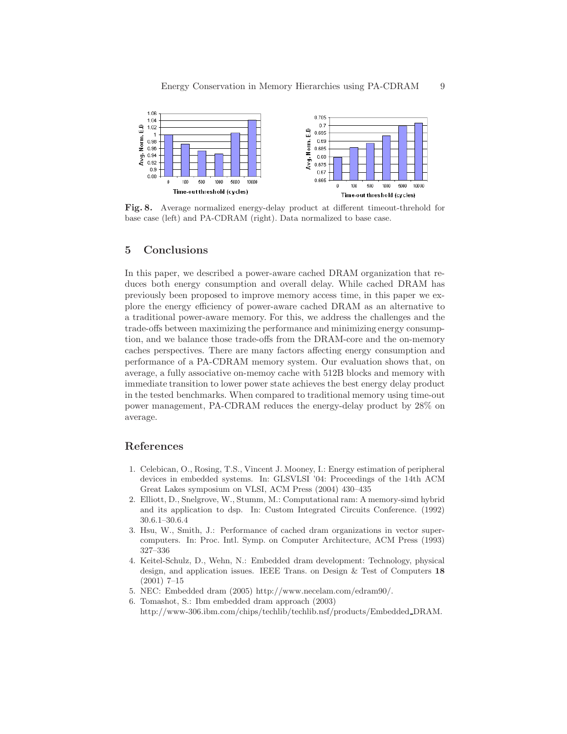

<span id="page-8-7"></span>Fig. 8. Average normalized energy-delay product at different timeout-threhold for base case (left) and PA-CDRAM (right). Data normalized to base case.

## <span id="page-8-3"></span>5 Conclusions

In this paper, we described a power-aware cached DRAM organization that reduces both energy consumption and overall delay. While cached DRAM has previously been proposed to improve memory access time, in this paper we explore the energy efficiency of power-aware cached DRAM as an alternative to a traditional power-aware memory. For this, we address the challenges and the trade-offs between maximizing the performance and minimizing energy consumption, and we balance those trade-offs from the DRAM-core and the on-memory caches perspectives. There are many factors affecting energy consumption and performance of a PA-CDRAM memory system. Our evaluation shows that, on average, a fully associative on-memoy cache with 512B blocks and memory with immediate transition to lower power state achieves the best energy delay product in the tested benchmarks. When compared to traditional memory using time-out power management, PA-CDRAM reduces the energy-delay product by 28% on average.

## <span id="page-8-0"></span>References

- 1. Celebican, O., Rosing, T.S., Vincent J. Mooney, I.: Energy estimation of peripheral devices in embedded systems. In: GLSVLSI '04: Proceedings of the 14th ACM Great Lakes symposium on VLSI, ACM Press (2004) 430–435
- <span id="page-8-1"></span>2. Elliott, D., Snelgrove, W., Stumm, M.: Computational ram: A memory-simd hybrid and its application to dsp. In: Custom Integrated Circuits Conference. (1992) 30.6.1–30.6.4
- <span id="page-8-2"></span>3. Hsu, W., Smith, J.: Performance of cached dram organizations in vector supercomputers. In: Proc. Intl. Symp. on Computer Architecture, ACM Press (1993) 327–336
- <span id="page-8-4"></span>4. Keitel-Schulz, D., Wehn, N.: Embedded dram development: Technology, physical design, and application issues. IEEE Trans. on Design & Test of Computers 18 (2001) 7–15
- <span id="page-8-6"></span><span id="page-8-5"></span>5. NEC: Embedded dram (2005) http://www.necelam.com/edram90/.
- 6. Tomashot, S.: Ibm embedded dram approach (2003) http://www-306.ibm.com/chips/techlib/techlib.nsf/products/Embedded DRAM.